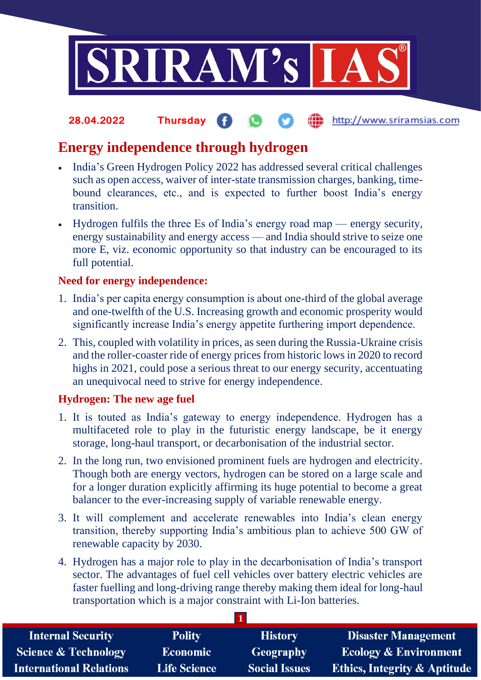

### **fin** http://www.sriramsias.com **28.04.2022 Thursday**

# **Energy independence through hydrogen**

- India's Green Hydrogen Policy 2022 has addressed several critical challenges such as open access, waiver of inter-state transmission charges, banking, timebound clearances, etc., and is expected to further boost India's energy transition.
- Hydrogen fulfils the three Es of India's energy road map energy security, energy sustainability and energy access — and India should strive to seize one more E, viz. economic opportunity so that industry can be encouraged to its full potential.

## **Need for energy independence:**

- 1. India's per capita energy consumption is about one-third of the global average and one-twelfth of the U.S. Increasing growth and economic prosperity would significantly increase India's energy appetite furthering import dependence.
- 2. This, coupled with volatility in prices, as seen during the Russia-Ukraine crisis and the roller-coaster ride of energy prices from historic lows in 2020 to record highs in 2021, could pose a serious threat to our energy security, accentuating an unequivocal need to strive for energy independence.

## **Hydrogen: The new age fuel**

- 1. It is touted as India's gateway to energy independence. Hydrogen has a multifaceted role to play in the futuristic energy landscape, be it energy storage, long-haul transport, or decarbonisation of the industrial sector.
- 2. In the long run, two envisioned prominent fuels are hydrogen and electricity. Though both are energy vectors, hydrogen can be stored on a large scale and for a longer duration explicitly affirming its huge potential to become a great balancer to the ever-increasing supply of variable renewable energy.
- 3. It will complement and accelerate renewables into India's clean energy transition, thereby supporting India's ambitious plan to achieve 500 GW of renewable capacity by 2030.
- 4. Hydrogen has a major role to play in the decarbonisation of India's transport sector. The advantages of fuel cell vehicles over battery electric vehicles are faster fuelling and long-driving range thereby making them ideal for long-haul transportation which is a major constraint with Li-Ion batteries.

| <b>Internal Security</b>        | <b>Polity</b>       | <b>History</b>       | <b>Disaster Management</b>              |  |
|---------------------------------|---------------------|----------------------|-----------------------------------------|--|
| <b>Science &amp; Technology</b> | <b>Economic</b>     | Geography            | <b>Ecology &amp; Environment</b>        |  |
| <b>International Relations</b>  | <b>Life Science</b> | <b>Social Issues</b> | <b>Ethics, Integrity &amp; Aptitude</b> |  |

**1**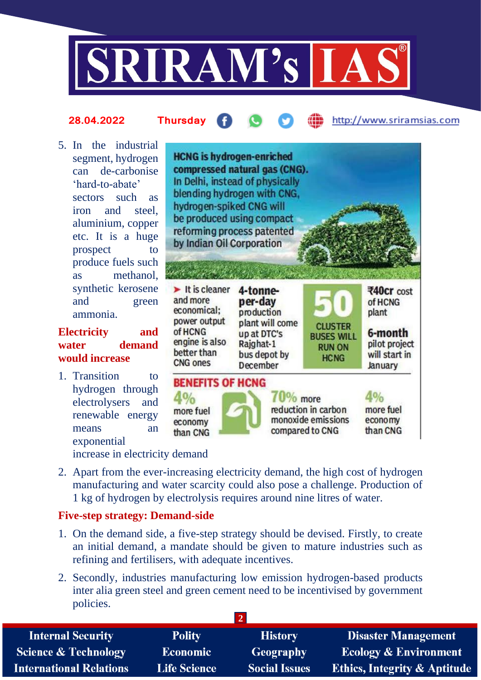

#### http://www.sriramsias.com **28.04.2022 Thursday**

5. In the industrial segment, hydrogen can de-carbonise 'hard-to-abate' sectors such as iron and steel, aluminium, copper etc. It is a huge prospect to produce fuels such as methanol, synthetic kerosene and green ammonia.

## **Electricity and water demand would increase**

1. Transition to hydrogen through electrolysers and renewable energy means an exponential



increase in electricity demand

2. Apart from the ever-increasing electricity demand, the high cost of hydrogen manufacturing and water scarcity could also pose a challenge. Production of 1 kg of hydrogen by electrolysis requires around nine litres of water.

## **Five-step strategy: Demand-side**

- 1. On the demand side, a five-step strategy should be devised. Firstly, to create an initial demand, a mandate should be given to mature industries such as refining and fertilisers, with adequate incentives.
- 2. Secondly, industries manufacturing low emission hydrogen-based products inter alia green steel and green cement need to be incentivised by government policies.

| <b>Internal Security</b>        | <b>Polity</b>       | <b>History</b>       | <b>Disaster Management</b>              |
|---------------------------------|---------------------|----------------------|-----------------------------------------|
| <b>Science &amp; Technology</b> | <b>Economic</b>     | Geography            | <b>Ecology &amp; Environment</b>        |
| <b>International Relations</b>  | <b>Life Science</b> | <b>Social Issues</b> | <b>Ethics, Integrity &amp; Aptitude</b> |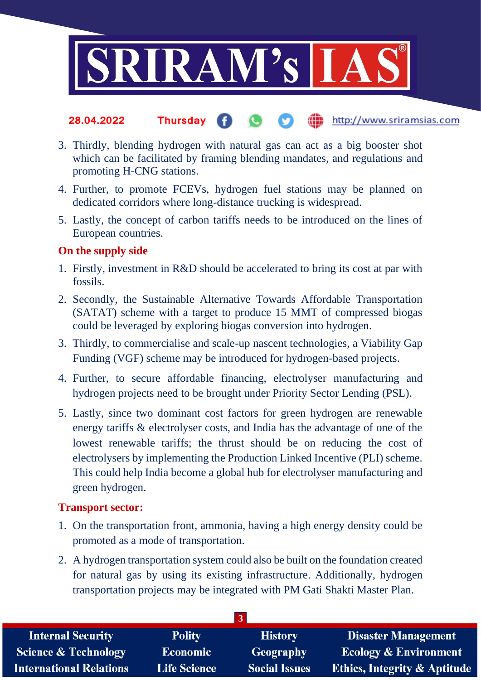

- http://www.sriramsias.com **28.04.2022 Thursday**
- 3. Thirdly, blending hydrogen with natural gas can act as a big booster shot which can be facilitated by framing blending mandates, and regulations and promoting H-CNG stations.
- 4. Further, to promote FCEVs, hydrogen fuel stations may be planned on dedicated corridors where long-distance trucking is widespread.
- 5. Lastly, the concept of carbon tariffs needs to be introduced on the lines of European countries.

## **On the supply side**

- 1. Firstly, investment in R&D should be accelerated to bring its cost at par with fossils.
- 2. Secondly, the Sustainable Alternative Towards Affordable Transportation (SATAT) scheme with a target to produce 15 MMT of compressed biogas could be leveraged by exploring biogas conversion into hydrogen.
- 3. Thirdly, to commercialise and scale-up nascent technologies, a Viability Gap Funding (VGF) scheme may be introduced for hydrogen-based projects.
- 4. Further, to secure affordable financing, electrolyser manufacturing and hydrogen projects need to be brought under Priority Sector Lending (PSL).
- 5. Lastly, since two dominant cost factors for green hydrogen are renewable energy tariffs & electrolyser costs, and India has the advantage of one of the lowest renewable tariffs; the thrust should be on reducing the cost of electrolysers by implementing the Production Linked Incentive (PLI) scheme. This could help India become a global hub for electrolyser manufacturing and green hydrogen.

## **Transport sector:**

- 1. On the transportation front, ammonia, having a high energy density could be promoted as a mode of transportation.
- 2. A hydrogen transportation system could also be built on the foundation created for natural gas by using its existing infrastructure. Additionally, hydrogen transportation projects may be integrated with PM Gati Shakti Master Plan.

| <b>Internal Security</b>        | <b>Polity</b>       | <b>History</b>       | <b>Disaster Management</b>              |
|---------------------------------|---------------------|----------------------|-----------------------------------------|
| <b>Science &amp; Technology</b> | <b>Economic</b>     | Geography            | <b>Ecology &amp; Environment</b>        |
| <b>International Relations</b>  | <b>Life Science</b> | <b>Social Issues</b> | <b>Ethics, Integrity &amp; Aptitude</b> |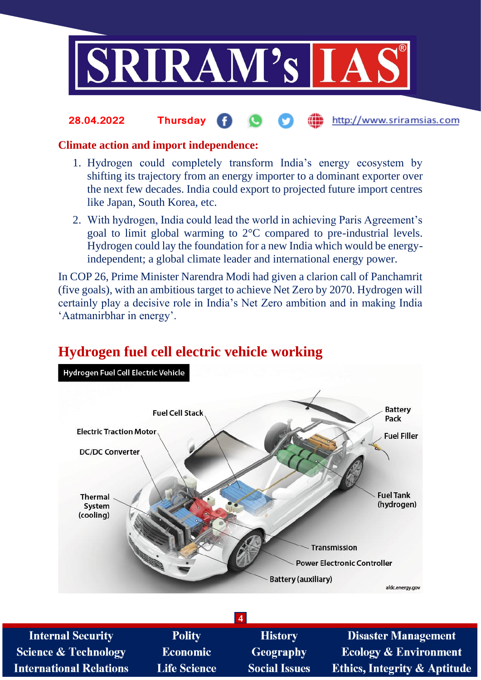

### http://www.sriramsias.com **28.04.2022 Thursday**

## **Climate action and import independence:**

- 1. Hydrogen could completely transform India's energy ecosystem by shifting its trajectory from an energy importer to a dominant exporter over the next few decades. India could export to projected future import centres like Japan, South Korea, etc.
- 2. With hydrogen, India could lead the world in achieving Paris Agreement's goal to limit global warming to 2°C compared to pre-industrial levels. Hydrogen could lay the foundation for a new India which would be energyindependent; a global climate leader and international energy power.

In COP 26, Prime Minister Narendra Modi had given a clarion call of Panchamrit (five goals), with an ambitious target to achieve Net Zero by 2070. Hydrogen will certainly play a decisive role in India's Net Zero ambition and in making India 'Aatmanirbhar in energy'.

## Hydrogen Fuel Cell Electric Vehicle **Battery Fuel Cell Stack** Pack **Electric Traction Motor Fuel Filler DC/DC Converter Fuel Tank Thermal** (hydrogen) System (cooling) Transmission **Power Electronic Controller Battery (auxiliary)** afdc.energy.gov

# **Hydrogen fuel cell electric vehicle working**

**4** Polity **Internal Security History Disaster Management Science & Technology Economic Geography Ecology & Environment International Relations Life Science Social Issues Ethics, Integrity & Aptitude**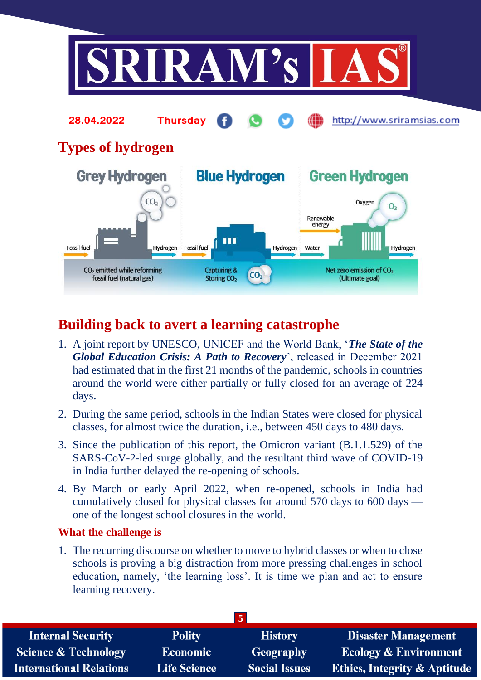

# **Building back to avert a learning catastrophe**

- 1. A joint report by UNESCO, UNICEF and the World Bank, '*The State of the Global Education Crisis: A Path to Recovery*', released in December 2021 had estimated that in the first 21 months of the pandemic, schools in countries around the world were either partially or fully closed for an average of 224 days.
- 2. During the same period, schools in the Indian States were closed for physical classes, for almost twice the duration, i.e., between 450 days to 480 days.
- 3. Since the publication of this report, the Omicron variant (B.1.1.529) of the SARS-CoV-2-led surge globally, and the resultant third wave of COVID-19 in India further delayed the re-opening of schools.
- 4. By March or early April 2022, when re-opened, schools in India had cumulatively closed for physical classes for around 570 days to 600 days one of the longest school closures in the world.

## **What the challenge is**

1. The recurring discourse on whether to move to hybrid classes or when to close schools is proving a big distraction from more pressing challenges in school education, namely, 'the learning loss'. It is time we plan and act to ensure learning recovery.

| <b>Internal Security</b>        | <b>Polity</b>       | <b>History</b>       | <b>Disaster Management</b>              |
|---------------------------------|---------------------|----------------------|-----------------------------------------|
| <b>Science &amp; Technology</b> | <b>Economic</b>     | Geography            | <b>Ecology &amp; Environment</b>        |
| <b>International Relations</b>  | <b>Life Science</b> | <b>Social Issues</b> | <b>Ethics, Integrity &amp; Aptitude</b> |
|                                 |                     |                      |                                         |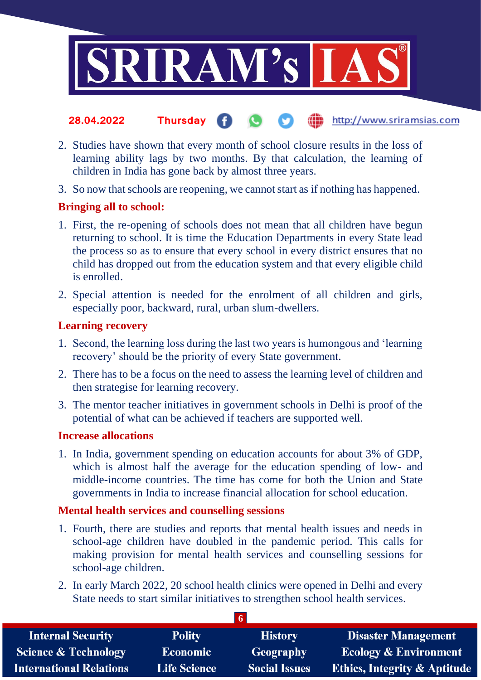

- the http://www.sriramsias.com **28.04.2022 Thursday**
- 2. Studies have shown that every month of school closure results in the loss of learning ability lags by two months. By that calculation, the learning of children in India has gone back by almost three years.
- 3. So now that schools are reopening, we cannot start as if nothing has happened.

## **Bringing all to school:**

- 1. First, the re-opening of schools does not mean that all children have begun returning to school. It is time the Education Departments in every State lead the process so as to ensure that every school in every district ensures that no child has dropped out from the education system and that every eligible child is enrolled.
- 2. Special attention is needed for the enrolment of all children and girls, especially poor, backward, rural, urban slum-dwellers.

## **Learning recovery**

- 1. Second, the learning loss during the last two years is humongous and 'learning recovery' should be the priority of every State government.
- 2. There has to be a focus on the need to assess the learning level of children and then strategise for learning recovery.
- 3. The mentor teacher initiatives in government schools in Delhi is proof of the potential of what can be achieved if teachers are supported well.

## **Increase allocations**

1. In India, government spending on education accounts for about 3% of GDP, which is almost half the average for the education spending of low- and middle-income countries. The time has come for both the Union and State governments in India to increase financial allocation for school education.

## **Mental health services and counselling sessions**

- 1. Fourth, there are studies and reports that mental health issues and needs in school-age children have doubled in the pandemic period. This calls for making provision for mental health services and counselling sessions for school-age children.
- 2. In early March 2022, 20 school health clinics were opened in Delhi and every State needs to start similar initiatives to strengthen school health services.

**6**

| <b>Internal Security</b>        | <b>Polity</b>       | <b>History</b>       | <b>Disaster Management</b>              |  |
|---------------------------------|---------------------|----------------------|-----------------------------------------|--|
| <b>Science &amp; Technology</b> | <b>Economic</b>     | Geography            | <b>Ecology &amp; Environment</b>        |  |
| <b>International Relations</b>  | <b>Life Science</b> | <b>Social Issues</b> | <b>Ethics, Integrity &amp; Aptitude</b> |  |